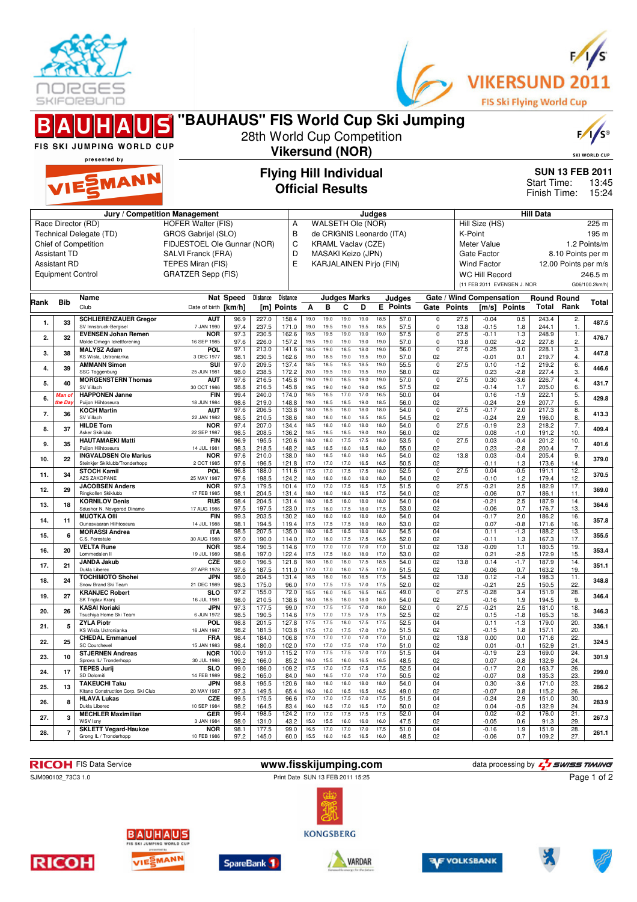



|     |                                            | BAUHAUS "BAUHAUS" FIS World Cup Ski Jumping                           |                                                                                             |                                                          | 28th World Cup Competition |                               |                                                                                                                                                       |              |                          |                   |                      |                           |                                                                               |                                                                         |                                   |                                                                             |                    |                      | $F / \sqrt{S^{\circ}}$    |
|-----|--------------------------------------------|-----------------------------------------------------------------------|---------------------------------------------------------------------------------------------|----------------------------------------------------------|----------------------------|-------------------------------|-------------------------------------------------------------------------------------------------------------------------------------------------------|--------------|--------------------------|-------------------|----------------------|---------------------------|-------------------------------------------------------------------------------|-------------------------------------------------------------------------|-----------------------------------|-----------------------------------------------------------------------------|--------------------|----------------------|---------------------------|
|     |                                            | FIS SKI JUMPING WORLD CUP                                             |                                                                                             |                                                          |                            | <b>Vikersund (NOR)</b>        |                                                                                                                                                       |              |                          |                   |                      |                           |                                                                               |                                                                         |                                   |                                                                             |                    |                      | <b>SKI WORLD CUP</b>      |
|     |                                            | presented by<br>VIESMANN                                              |                                                                                             | <b>Flying Hill Individual</b><br><b>Official Results</b> |                            |                               |                                                                                                                                                       |              |                          |                   |                      |                           |                                                                               | <b>SUN 13 FEB 2011</b><br>Start Time:<br>13:45<br>Finish Time:<br>15:24 |                                   |                                                                             |                    |                      |                           |
|     |                                            | Jury / Competition Management                                         |                                                                                             |                                                          |                            |                               |                                                                                                                                                       |              |                          | Judges            |                      |                           |                                                                               |                                                                         |                                   |                                                                             | <b>Hill Data</b>   |                      |                           |
|     | <b>Assistant TD</b><br><b>Assistant RD</b> | Race Director (RD)<br>Technical Delegate (TD)<br>Chief of Competition | <b>HOFER Walter (FIS)</b><br>GROS Gabrijel (SLO)<br>SALVI Franck (FRA)<br>TEPES Miran (FIS) | FIDJESTOEL Ole Gunnar (NOR)                              |                            |                               | WALSETH Ole (NOR)<br>Α<br>de CRIGNIS Leonardo (ITA)<br>B<br>C<br><b>KRAML Vaclav (CZE)</b><br>D<br>MASAKI Keizo (JPN)<br>E<br>KARJALAINEN Pirjo (FIN) |              |                          |                   |                      |                           | Hill Size (HS)<br>K-Point<br>Meter Value<br>Gate Factor<br><b>Wind Factor</b> |                                                                         |                                   | 225 m<br>195 m<br>1.2 Points/m<br>8.10 Points per m<br>12.00 Points per m/s |                    |                      |                           |
|     |                                            | <b>Equipment Control</b>                                              | <b>GRATZER Sepp (FIS)</b>                                                                   |                                                          |                            |                               |                                                                                                                                                       |              |                          |                   |                      |                           |                                                                               |                                                                         | <b>WC Hill Record</b>             | (11 FEB 2011 EVENSEN J. NOR                                                 |                    |                      | 246.5 m<br>G06/100.2km/h) |
|     | Name<br>Rank<br>Bib<br>Club                |                                                                       | Date of birth [km/h]                                                                        | Nat Speed                                                | <b>Distance</b>            | <b>Distance</b><br>[m] Points | A                                                                                                                                                     | в            | <b>Judges Marks</b><br>C | D                 |                      | Judges<br><b>E</b> Points | Gate Points                                                                   |                                                                         | Gate / Wind Compensation<br>[m/s] | Points                                                                      | <b>Round Round</b> | <b>Total Rank</b>    | Total                     |
| 1.  | 33                                         | <b>SCHLIERENZAUER Gregor</b><br>SV Innsbruck-Bergisel                 | <b>AUT</b><br>7 JAN 1990                                                                    | 96.9<br>97.4                                             | 227.0<br>237.5             | 158.4<br>171.0                | 19.0<br>19.0                                                                                                                                          | 19.0<br>19.5 | 19.0<br>19.0             | 19.0<br>19.5      | 18.5<br>18.5         | 57.0<br>57.5              | $\mathbf 0$<br>$\mathbf 0$                                                    | 27.5<br>13.8                                                            | $-0.04$<br>$-0.15$                | 0.5<br>1.8                                                                  | 243.4<br>244.1     | 2.<br>$\mathbf{1}$ . | 487.5                     |
| 2.  | 32                                         | <b>EVENSEN Johan Remen</b><br>Molde Omegn Idrettforening              | <b>NOR</b><br>16 SEP 1985                                                                   | 97.3<br>97.6                                             | 230.5<br>226.0             | 162.6<br>157.2                | 19.5<br>19.5                                                                                                                                          | 19.5<br>19.0 | 19.0<br>19.0             | 19.0<br>19.0      | 19.0<br>19.0         | 57.5<br>57.0              | $\overline{0}$<br>0                                                           | 27.5<br>13.8                                                            | $-0.11$<br>0.02                   | 1.3<br>$-0.2$                                                               | 248.9<br>227.8     | 1.<br>2.             | 476.7                     |
| 3.  | 38                                         | <b>MALYSZ Adam</b>                                                    | <b>POL</b>                                                                                  | 97.1                                                     | 213.0                      | 141.6                         | 18.5                                                                                                                                                  | 19.0         | 18.5                     | 18.0              | 19.0                 | 56.0                      | $\mathbf 0$                                                                   | 27.5                                                                    | $-0.25$                           | 3.0                                                                         | 228.1              | 3.                   | 447.8                     |
| 4.  | 39                                         | KS Wisla, Ustronianka<br><b>AMMANN Simon</b>                          | 3 DEC 1977<br>SUI                                                                           | 98.1<br>97.0                                             | 230.5<br>209.5             | 162.6<br>137.4                | 19.0<br>18.5                                                                                                                                          | 18.5<br>18.5 | 19.0<br>18.5<br>19.0     | 19.5<br>18.5      | 19.0<br>19.0<br>19.0 | 57.0<br>55.5              | 02<br>$\mathsf 0$                                                             | 27.5                                                                    | $-0.01$<br>0.10                   | 0.1<br>$-1.2$                                                               | 219.7<br>219.2     | 4.<br>6.             | 446.6                     |
| 5.  | 40                                         | SSC Toggenburg<br><b>MORGENSTERN Thomas</b>                           | 25 JUN 1981<br><b>AUT</b>                                                                   | 98.0<br>97.6                                             | 238.5<br>216.5             | 172.2<br>145.8                | 20.0<br>19.0                                                                                                                                          | 19.5<br>19.0 | 18.5                     | 19.5<br>19.0      | 19.0                 | 58.0<br>57.0              | 02<br>$\mathbf 0$                                                             | 27.5                                                                    | 0.23<br>0.30                      | $-2.8$<br>$-3.6$                                                            | 227.4<br>226.7     | 3.<br>4.             | 431.7                     |
| 6.  | Man of                                     | SV Villach<br><b>HAPPONEN Janne</b><br>Puijon Hijhtoseura             | 30 OCT 1986<br><b>FIN</b>                                                                   | 98.8<br>99.4                                             | 216.5<br>240.0             | 145.8<br>174.0                | 19.5<br>16.5                                                                                                                                          | 19.0<br>16.5 | 19.0<br>17.0             | 19.0<br>17.0      | 19.5<br>16.5         | 57.5<br>50.0              | 02<br>04                                                                      |                                                                         | $-0.14$<br>0.16                   | 1.7<br>$-1.9$                                                               | 205.0<br>222.1     | 6.<br>5.             | 429.8                     |
| 7.  | the Day<br>36                              | <b>KOCH Martin</b>                                                    | 18 JUN 1984<br><b>AUT</b>                                                                   | 98.6<br>97.6                                             | 219.0<br>206.5             | 148.8<br>133.8                | 19.0<br>18.0                                                                                                                                          | 18.5<br>18.5 | 18.5<br>18.0             | 19.0<br>18.0      | 18.5<br>18.0         | 56.0<br>54.0              | 02<br>$\mathbf 0$                                                             | 27.5                                                                    | $-0.24$<br>$-0.17$                | 2.9<br>2.0                                                                  | 207.7<br>217.3     | 5.<br>8.             | 413.3                     |
| 8.  | 37                                         | SV Villach<br><b>HILDE Tom</b>                                        | 22 JAN 1982<br><b>NOR</b>                                                                   | 98.5<br>97.4                                             | 210.5<br>207.0             | 138.6<br>134.4                | 18.0<br>18.5                                                                                                                                          | 18.0<br>18.0 | 18.0<br>18.0             | 18.5<br>18.0      | 18.5<br>18.0         | 54.5<br>54.0              | 02<br>$\mathsf 0$                                                             | 27.5                                                                    | $-0.24$<br>$-0.19$                | 2.9<br>2.3                                                                  | 196.0<br>218.2     | 8.<br>7.             | 409.4                     |
| 9.  | 35                                         | Asker Skiklubb<br><b>HAUTAMAEKI Matti</b>                             | 22 SEP 1987<br><b>FIN</b>                                                                   | 98.5<br>96.9                                             | 208.5<br>195.5             | 136.2<br>120.6                | 18.5<br>18.0                                                                                                                                          | 18.5<br>18.0 | 18.5<br>17.5             | 19.0<br>17.5      | 19.0<br>18.0         | 56.0<br>53.5              | 02<br>$\mathbf 0$                                                             | 27.5                                                                    | 0.08<br>0.03                      | $-1.0$<br>$-0.4$                                                            | 191.2<br>201.2     | 10.<br>10.           | 401.6                     |
| 10. | 22                                         | Puijon Hiihtoseura<br><b>INGVALDSEN Ole Marius</b>                    | 14 JUL 1981<br>NOR                                                                          | 98.3<br>97.6                                             | 218.5<br>210.0             | 148.2<br>138.0                | 18.5<br>18.0                                                                                                                                          | 18.5<br>18.5 | 18.0<br>18.0             | 18.5<br>18.0      | 18.0<br>16.5         | 55.0<br>54.0              | 02<br>02                                                                      | 13.8                                                                    | 0.23<br>0.03                      | $-2.8$<br>$-0.4$                                                            | 200.4<br>205.4     | 7.<br>9.             | 379.0                     |
| 11. | 34                                         | Steinkjer Skiklubb/Tronderhopp<br><b>STOCH Kamil</b>                  | 2 OCT 1985<br><b>POL</b>                                                                    | 97.6<br>96.8                                             | 196.5<br>188.0             | 121.8<br>111.6                | 17.0<br>17.5                                                                                                                                          | 17.0<br>17.0 | 17.0<br>17.5             | 16.5<br>17.5      | 16.5<br>18.0         | 50.5<br>52.5              | 02<br>$\mathbf 0$                                                             | 27.5                                                                    | $-0.11$<br>0.04                   | 1.3<br>$-0.5$                                                               | 173.6<br>191.1     | 14.<br>12.           | 370.5                     |
| 12. | 29                                         | <b>AZS ZAKOPANE</b><br><b>JACOBSEN Anders</b>                         | 25 MAY 1987<br><b>NOR</b>                                                                   | 97.6<br>97.3                                             | 198.5<br>179.5             | 124.2<br>101.4                | 18.0<br>17.0                                                                                                                                          | 18.0<br>17.0 | 18.0<br>17.5             | 18.0<br>16.5      | 18.0<br>17.5         | 54.0<br>51.5              | 02<br>$\mathbf 0$                                                             | 27.5                                                                    | $-0.10$<br>$-0.21$                | 1.2<br>2.5                                                                  | 179.4<br>182.9     | 12.<br>17.           | 369.0                     |
| 13. | 18                                         | Ringkollen Skiklubb<br><b>KORNILOV Denis</b>                          | 17 FEB 1985<br><b>RUS</b>                                                                   | 98.1<br>98.4                                             | 204.5<br>204.5             | 131.4<br>131.4                | 18.0<br>18.0                                                                                                                                          | 18.0<br>18.5 | 18.0<br>18.0             | 18.5<br>18.0      | 17.5<br>18.0         | 54.0<br>54.0              | 02<br>04                                                                      |                                                                         | $-0.06$<br>$-0.21$                | 0.7<br>2.5                                                                  | 186.1<br>187.9     | 11<br>14.            | 364.6                     |
| 14. | 11                                         | Sdushor N. Novgorod Dinamo<br><b>MUOTKA OIII</b>                      | 17 AUG 1986<br><b>FIN</b>                                                                   | 97.5<br>99.3                                             | 197.5<br>203.5             | 123.0<br>130.2                | 17.5<br>18.0                                                                                                                                          | 18.0<br>18.0 | 17.5<br>18.0             | 18.0<br>18.0      | 17.5<br>18.0         | 53.0<br>54.0              | 02<br>04                                                                      |                                                                         | $-0.06$<br>$-0.17$                | 0.7<br>2.0                                                                  | 176.7<br>186.2     | 13.<br>16.           | 357.8                     |
| 15. | 6                                          | Ounasvaaran Hiihtoseura<br><b>MORASSI Andrea</b>                      | 14 JUL 1988<br><b>ITA</b>                                                                   | 98.1<br>98.5                                             | 194.5<br>207.5             | 119.4<br>135.0                | 17.5<br>18.0                                                                                                                                          | 17.5<br>18.5 | 17.5<br>18.5             | 18.0<br>18.0      | 18.0<br>18.0         | 53.0<br>54.5              | 02<br>04                                                                      |                                                                         | 0.07<br>0.11                      | $-0.8$<br>$-1.3$                                                            | 171.6<br>188.2     | 16.<br>13.           | 355.5                     |
| 16. | 20                                         | C.S. Forestale<br><b>VELTA Rune</b>                                   | 30 AUG 1988<br><b>NOR</b>                                                                   | 97.0<br>98.4                                             | 190.0<br>190.5             | 114.0<br>114.6                | 17.0<br>17.0                                                                                                                                          | 18.0<br>17.0 | 17.5<br>17.0             | 17.5<br>17.0      | 16.5<br>17.0         | 52.0<br>51.0              | 02<br>02                                                                      | 13.8                                                                    | $-0.11$<br>$-0.09$                | 1.3<br>1.1                                                                  | 167.3<br>180.5     | 17.<br>19.           | 353.4                     |
| 17. | 21                                         | Lommedalen II<br><b>JANDA Jakub</b>                                   | 19 JUL 1989<br><b>CZE</b>                                                                   | 98.6<br>98.0                                             | 197.0<br>196.5             | 122.4<br>121.8                | 17.5<br>18.0                                                                                                                                          | 17.5<br>18.0 | 18.0<br>18.0             | 18.0<br>17.5      | 17.0<br>18.5         | 53.0<br>54.0              | 02<br>02                                                                      | 13.8                                                                    | 0.21<br>0.14                      | $-2.5$<br>$-1.7$                                                            | 172.9<br>187.9     | 15.<br>14.           | 351.1                     |
| 18. | 24                                         | Dukla Liberec<br><b>TOCHIMOTO Shohei</b>                              | 27 APR 1978<br>JPN                                                                          | 97.6<br>98.0                                             | 187.5<br>204.5             | 111.0<br>131.4                | 17.0<br>18.5                                                                                                                                          | 17.0<br>18.0 | 18.0<br>18.0             | 17.5<br>18.5      | 17.0<br>17.5         | 51.5<br>54.5              | 02<br>02                                                                      | 13.8                                                                    | $-0.06$<br>0.12                   | 0.7<br>$-1.4$                                                               | 163.2<br>198.3     | 19.<br>11.           | 348.8                     |
| 19. | 27                                         | Snow Brand Ski Team<br><b>KRANJEC Robert</b>                          | 21 DEC 1989<br><b>SLO</b>                                                                   | 98.3<br>97.2                                             | 175.0<br>155.0             | 96.0<br>72.0                  | 17.0                                                                                                                                                  | 17.5<br>16.0 | 17.5<br>16.5             | 17.0<br>16.5      | 17.5<br>16.5         | 52.0<br>49.0              | 02<br>$\overline{0}$                                                          | 27.5                                                                    | $-0.21$<br>$-0.28$                | 2.5<br>3.4                                                                  | 150.5<br>151.9     | 22.<br>28.           | 346.4                     |
| 20. | 26                                         | SK Triglav Kranj<br><b>KASAI Noriaki</b>                              | 16 JUL 1981<br>JPN                                                                          | 98.0<br>97.3                                             | 210.5<br>177.5             | 138.6<br>99.0                 | 18.0<br>17.0                                                                                                                                          | 18.5<br>17.5 | 18.0<br>17.5             | 18.0<br>17.0      | 18.0<br>18.0         | 54.0<br>52.0              | 02<br>$\mathbf 0$                                                             | 27.5                                                                    | $-0.16$<br>$-0.21$                | 1.9<br>2.5                                                                  | 194.5<br>181.0     | 9.<br>18.            | 346.3                     |
| 21. | 5                                          | Tsuchiya Home Ski Team<br><b>ZYLA Piotr</b>                           | 6 JUN 1972<br><b>POL</b>                                                                    | 98.5<br>98.8                                             | 190.5<br>201.5             | 114.6<br>127.8                | 17.5<br>17.5                                                                                                                                          | 17.0<br>17.5 | 17.5<br>18.0             | 17.5<br>17.5      | 17.5<br>17.5         | 52.5<br>52.5              | 02<br>04                                                                      |                                                                         | 0.15<br>0.11                      | $-1.8$<br>$-1.3$                                                            | 165.3<br>179.0     | 18.<br>20.           | 336.1                     |
|     |                                            | KS Wisla Ustronianka<br><b>CHEDAL Emmanuel</b>                        | 16 JAN 1987<br><b>FRA</b>                                                                   | 98.2<br>98.4                                             | 181.5<br>184.0             | 103.8<br>106.8                | 17.5<br>17.0                                                                                                                                          | 17.0<br>17.0 | 17.5<br>17.0             | 17.0<br>17.0      | 17.0<br>17.0         | 51.5<br>51.0              | 02<br>02                                                                      | 13.8                                                                    | $-0.15$<br>0.00                   | 1.8<br>0.0                                                                  | 157.1<br>171.6     | 20.<br>22.           |                           |
| 22. | 25<br>10                                   | SC Courchevel<br><b>STJERNEN Andreas</b>                              | 15 JAN 1983<br><b>NOR</b>                                                                   | 98.4<br>100.0                                            | 180.0<br>191.0             | 102.0<br>115.2                | 17.0<br>17.0                                                                                                                                          | 17.0<br>17.5 | 17.5<br>17.5             | 17.0<br>17.0      | 17.0<br>17.0         | 51.0<br>51.5              | 02<br>04                                                                      |                                                                         | 0.01<br>$-0.19$                   | $-0.1$<br>2.3                                                               | 152.9<br>169.0     | 21<br>24.            | 324.5<br>301.9            |
| 23. |                                            | Sprova IL/ Tronderhopp<br><b>TEPES Jurij</b>                          | 30 JUL 1988<br>SLO                                                                          | 99.2<br>99.0                                             | 166.0<br>186.0             | 85.2<br>109.2                 | 16.0<br>17.5                                                                                                                                          | 15.5<br>17.0 | 16.0<br>17.5             | 16.5<br>17.5      | 16.5<br>17.5         | 48.5<br>52.5              | 02<br>04                                                                      |                                                                         | 0.07<br>$-0.17$                   | $-0.8$<br>2.0                                                               | 132.9<br>163.7     | 24.<br>26.           |                           |
| 24. | 17                                         | SD Dolomiti<br><b>TAKEUCHI Taku</b>                                   | 14 FEB 1989<br>JPN                                                                          | 98.2<br>98.8                                             | 165.0<br>195.5             | 84.0<br>120.6                 | 16.0<br>18.0                                                                                                                                          | 16.5<br>18.0 | 17.0<br>18.0             | 17.0<br>18.0      | 17.0<br>18.0         | 50.5<br>54.0              | 02<br>04                                                                      |                                                                         | $-0.07$<br>0.30                   | 0.8<br>$-3.6$                                                               | 135.3<br>171.0     | 23.<br>23.           | 299.0                     |
| 25. | 13                                         | Kitano Construction Corp. Ski Club<br><b>HLAVA Lukas</b>              | 20 MAY 1987<br>CZE                                                                          | 97.3<br>99.5                                             | 149.5<br>175.5             | 65.4<br>96.6                  | 16.0<br>17.0                                                                                                                                          | 16.0<br>17.0 | 17.5                     | 16.5 16.5<br>17.0 | 16.5<br>17.5         | 49.0<br>51.5              | 02<br>04                                                                      |                                                                         | $-0.07$<br>$-0.24$                | 0.8<br>2.9                                                                  | 115.2<br>151.0     | 26.<br>30.           | 286.2                     |
| 26. | 8                                          | Dukla Liberec<br><b>MECHLER Maximilian</b>                            | 10 SEP 1984<br>GER                                                                          | 98.2<br>99.4                                             | 164.5<br>198.5             | 83.4<br>124.2                 | 16.0<br>17.0                                                                                                                                          | 16.5<br>17.0 | 17.0<br>17.5             | 16.5<br>17.5      | 17.0<br>17.5         | 50.0<br>52.0              | 02<br>04                                                                      |                                                                         | 0.04<br>0.02                      | $-0.5$<br>$-0.2$                                                            | 132.9<br>176.0     | 24.<br>21.           | 283.9                     |
| 27. | 3                                          | WSV Isny<br><b>SKLETT Vegard-Haukoe</b>                               | 3 JAN 1984<br><b>NOR</b>                                                                    | 98.0<br>98.1                                             | 131.0<br>177.5             | 43.2<br>99.0                  | 15.0<br>16.5                                                                                                                                          | 15.5<br>17.0 | 16.0<br>17.0             | 16.0<br>17.0      | 16.0<br>17.5         | 47.5<br>51.0              | 02<br>04                                                                      |                                                                         | $-0.05$<br>$-0.16$                | 0.6<br>1.9                                                                  | 91.3<br>151.9      | 29.<br>28.           | 267.3                     |
| 28. | $\overline{7}$                             | Grong IL / Tronderhopp                                                | 10 FEB 1986                                                                                 | 97.2                                                     | 145.0                      | 60.0                          | 15.5 16.0                                                                                                                                             |              |                          | 16.5 16.5         | 16.0                 | 48.5                      | 02                                                                            |                                                                         | $-0.06$                           | 0.7                                                                         | 109.2              | 27.                  | 261.1                     |

Print Date SUN 13 FEB 2011 15:25



Page 1 of 2





FIS SKI JUMPING WORLD CUI VIESMANN